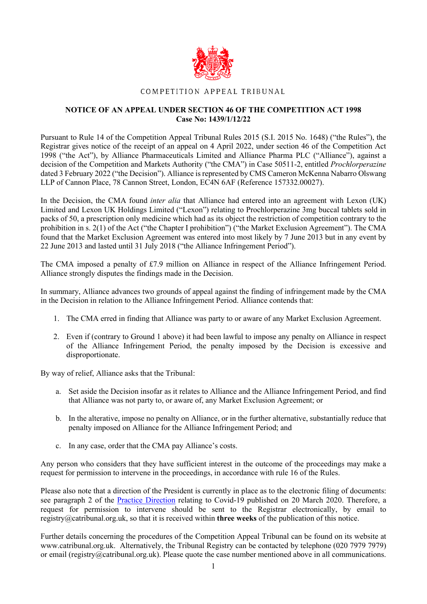

## COMPETITION APPEAL TRIBUNAL

## **NOTICE OF AN APPEAL UNDER SECTION 46 OF THE COMPETITION ACT 1998 Case No: 1439/1/12/22**

Pursuant to Rule 14 of the Competition Appeal Tribunal Rules 2015 (S.I. 2015 No. 1648) ("the Rules"), the Registrar gives notice of the receipt of an appeal on 4 April 2022, under section 46 of the Competition Act 1998 ("the Act"), by Alliance Pharmaceuticals Limited and Alliance Pharma PLC ("Alliance"), against a decision of the Competition and Markets Authority ("the CMA") in Case 50511-2, entitled *Prochlorperazine*  dated 3 February 2022 ("the Decision"). Alliance is represented by CMS Cameron McKenna Nabarro Olswang LLP of Cannon Place, 78 Cannon Street, London, EC4N 6AF (Reference 157332.00027).

In the Decision, the CMA found *inter alia* that Alliance had entered into an agreement with Lexon (UK) Limited and Lexon UK Holdings Limited ("Lexon") relating to Prochlorperazine 3mg buccal tablets sold in packs of 50, a prescription only medicine which had as its object the restriction of competition contrary to the prohibition in s. 2(1) of the Act ("the Chapter I prohibition") ("the Market Exclusion Agreement"). The CMA found that the Market Exclusion Agreement was entered into most likely by 7 June 2013 but in any event by 22 June 2013 and lasted until 31 July 2018 ("the Alliance Infringement Period").

The CMA imposed a penalty of £7.9 million on Alliance in respect of the Alliance Infringement Period. Alliance strongly disputes the findings made in the Decision.

In summary, Alliance advances two grounds of appeal against the finding of infringement made by the CMA in the Decision in relation to the Alliance Infringement Period. Alliance contends that:

- 1. The CMA erred in finding that Alliance was party to or aware of any Market Exclusion Agreement.
- 2. Even if (contrary to Ground 1 above) it had been lawful to impose any penalty on Alliance in respect of the Alliance Infringement Period, the penalty imposed by the Decision is excessive and disproportionate.

By way of relief, Alliance asks that the Tribunal:

- a. Set aside the Decision insofar as it relates to Alliance and the Alliance Infringement Period, and find that Alliance was not party to, or aware of, any Market Exclusion Agreement; or
- b. In the alterative, impose no penalty on Alliance, or in the further alternative, substantially reduce that penalty imposed on Alliance for the Alliance Infringement Period; and
- c. In any case, order that the CMA pay Alliance's costs.

Any person who considers that they have sufficient interest in the outcome of the proceedings may make a request for permission to intervene in the proceedings, in accordance with rule 16 of the Rules.

Please also note that a direction of the President is currently in place as to the electronic filing of documents: see paragraph 2 of the Practice Direction relating to Covid-19 published on 20 March 2020. Therefore, a request for permission to intervene should be sent to the Registrar electronically, by email to registry@catribunal.org.uk, so that it is received within **three weeks** of the publication of this notice.

Further details concerning the procedures of the Competition Appeal Tribunal can be found on its website at www.catribunal.org.uk. Alternatively, the Tribunal Registry can be contacted by telephone (020 7979 7979) or email (registry@catribunal.org.uk). Please quote the case number mentioned above in all communications.